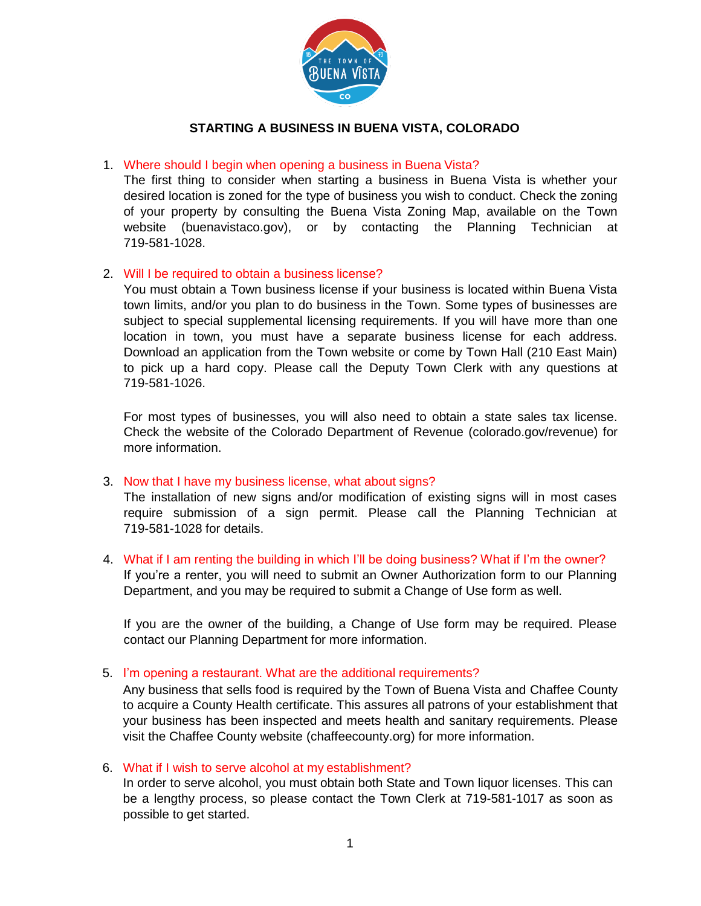

## **STARTING A BUSINESS IN BUENA VISTA, COLORADO**

### 1. Where should I begin when opening a business in Buena Vista?

The first thing to consider when starting a business in Buena Vista is whether your desired location is zoned for the type of business you wish to conduct. Check the zoning of your property by consulting the Buena Vista Zoning Map, available on the Town website (buenavistaco.gov), or by contacting the Planning Technician at 719-581-1028.

### 2. Will I be required to obtain a business license?

You must obtain a Town business license if your business is located within Buena Vista town limits, and/or you plan to do business in the Town. Some types of businesses are subject to special supplemental licensing requirements. If you will have more than one location in town, you must have a separate business license for each address. Download an application from the Town website or come by Town Hall (210 East Main) to pick up a hard copy. Please call the Deputy Town Clerk with any questions at 719-581-1026.

For most types of businesses, you will also need to obtain a state sales tax license. Check the website of the Colorado Department of Revenue [\(colorado.gov/revenue\)](https://www.colorado.gov/revenue) for more information.

### 3. Now that I have my business license, what about signs?

The installation of new signs and/or modification of existing signs will in most cases require submission of a sign permit. Please call the Planning Technician at 719-581-1028 for details.

4. What if I am renting the building in which I'll be doing business? What if I'm the owner? If you're a renter, you will need to submit an Owner Authorization form to our Planning Department, and you may be required to submit a Change of Use form as well.

If you are the owner of the building, a Change of Use form may be required. Please contact our Planning Department for more information.

#### 5. I'm opening a restaurant. What are the additional requirements?

Any business that sells food is required by the Town of Buena Vista and Chaffee County to acquire a County Health certificate. This assures all patrons of your establishment that your business has been inspected and meets health and sanitary requirements. Please visit the Chaffee County website (chaffeecounty.org) for more information.

### 6. What if I wish to serve alcohol at my establishment?

In order to serve alcohol, you must obtain both State and Town liquor licenses. This can be a lengthy process, so please contact the Town Clerk at 719-581-1017 as soon as possible to get started.